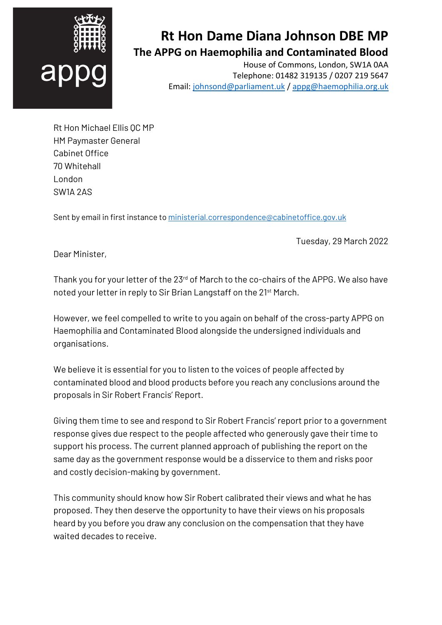

## **Rt Hon Dame Diana Johnson DBE MP The APPG on Haemophilia and Contaminated Blood**

House of Commons, London, SW1A 0AA Telephone: 01482 319135 / 0207 219 5647 Email[: johnsond@parliament.uk](mailto:johnsond@parliament.uk) / [appg@haemophilia.org.uk](mailto:appg@haemophilia.org.uk)

Rt Hon Michael Ellis QC MP HM Paymaster General Cabinet Office 70 Whitehall London SW1A 2AS

Sent by email in first instance t[o ministerial.correspondence@cabinetoffice.gov.uk](mailto:ministerial.correspondence@cabinetoffice.gov.uk)

Tuesday, 29 March 2022

Dear Minister,

Thank you for your letter of the 23<sup>rd</sup> of March to the co-chairs of the APPG. We also have noted your letter in reply to Sir Brian Langstaff on the 21st March.

However, we feel compelled to write to you again on behalf of the cross-party APPG on Haemophilia and Contaminated Blood alongside the undersigned individuals and organisations.

We believe it is essential for you to listen to the voices of people affected by contaminated blood and blood products before you reach any conclusions around the proposals in Sir Robert Francis' Report.

Giving them time to see and respond to Sir Robert Francis' report prior to a government response gives due respect to the people affected who generously gave their time to support his process. The current planned approach of publishing the report on the same day as the government response would be a disservice to them and risks poor and costly decision-making by government.

This community should know how Sir Robert calibrated their views and what he has proposed. They then deserve the opportunity to have their views on his proposals heard by you before you draw any conclusion on the compensation that they have waited decades to receive.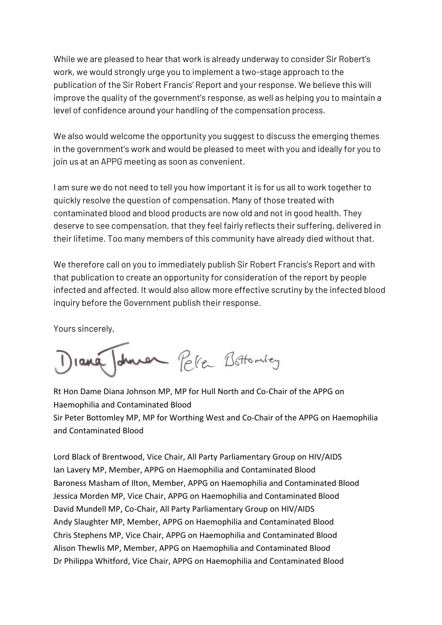While we are pleased to hear that work is already underway to consider Sir Robert's work, we would strongly urge you to implement a two-stage approach to the publication of the Sir Robert Francis' Report and your response. We believe this will improve the quality of the government's response, as well as helping you to maintain a level of confidence around your handling of the compensation process.

We also would welcome the opportunity you suggest to discuss the emerging themes in the government's work and would be pleased to meet with you and ideally for you to join us at an APPG meeting as soon as convenient.

I am sure we do not need to tell you how important it is for us all to work together to quickly resolve the question of compensation. Many of those treated with contaminated blood and blood products are now old and not in good health. They deserve to see compensation, that they feel fairly reflects their suffering, delivered in their lifetime. Too many members of this community have already died without that.

We therefore call on you to immediately publish Sir Robert Francis's Report and with that publication to create an opportunity for consideration of the report by people infected and affected. It would also allow more effective scrutiny by the infected blood inquiry before the Government publish their response.

Yours sincerely,

durer Peller Bottomley

Rt Hon Dame Diana Johnson MP, MP for Hull North and Co-Chair of the APPG on Haemophilia and Contaminated Blood Sir Peter Bottomley MP, MP for Worthing West and Co-Chair of the APPG on Haemophilia and Contaminated Blood

Lord Black of Brentwood, Vice Chair, All Party Parliamentary Group on HIV/AIDS Ian Lavery MP, Member, APPG on Haemophilia and Contaminated Blood Baroness Masham of Ilton, Member, APPG on Haemophilia and Contaminated Blood Jessica Morden MP, Vice Chair, APPG on Haemophilia and Contaminated Blood David Mundell MP, Co-Chair, All Party Parliamentary Group on HIV/AIDS Andy Slaughter MP, Member, APPG on Haemophilia and Contaminated Blood Chris Stephens MP, Vice Chair, APPG on Haemophilia and Contaminated Blood Alison Thewlis MP, Member, APPG on Haemophilia and Contaminated Blood Dr Philippa Whitford, Vice Chair, APPG on Haemophilia and Contaminated Blood